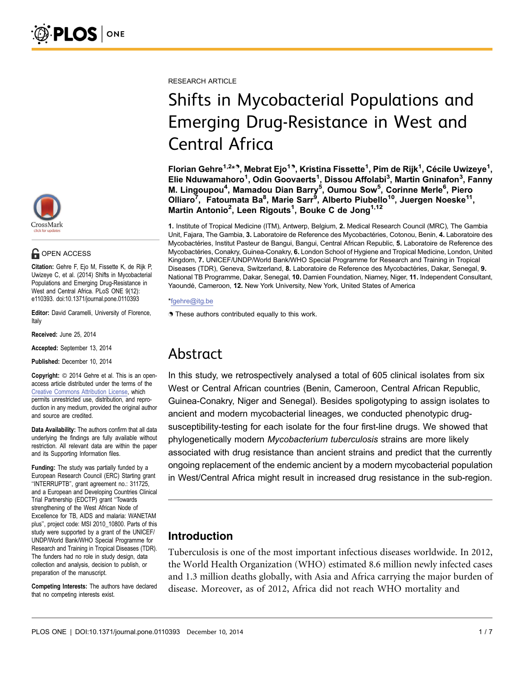

### **G** OPEN ACCESS

Citation: Gehre F, Ejo M, Fissette K, de Rijk P, Uwizeye C, et al. (2014) Shifts in Mycobacterial Populations and Emerging Drug-Resistance in West and Central Africa. PLoS ONE 9(12): e110393. doi:10.1371/journal.pone.0110393

Editor: David Caramelli, University of Florence, Italy

Received: June 25, 2014

Accepted: September 13, 2014

Published: December 10, 2014

**Copyright:** © 2014 Gehre et al. This is an openaccess article distributed under the terms of the Creative Commons Attribution License, which permits unrestricted use, distribution, and reproduction in any medium, provided the original author and source are credited.

Data Availability: The authors confirm that all data underlying the findings are fully available without restriction. All relevant data are within the paper and its Supporting Information files.

Funding: The study was partially funded by a European Research Council (ERC) Starting grant ''INTERRUPTB'', grant agreement no.: 311725, and a European and Developing Countries Clinical Trial Partnership (EDCTP) grant ''Towards strengthening of the West African Node of Excellence for TB, AIDS and malaria: WANETAM plus'', project code: MSI 2010\_10800. Parts of this study were supported by a grant of the UNICEF/ UNDP/World Bank/WHO Special Programme for Research and Training in Tropical Diseases (TDR). The funders had no role in study design, data collection and analysis, decision to publish, or preparation of the manuscript.

Competing Interests: The authors have declared that no competing interests exist.

RESEARCH ARTICLE

# Shifts in Mycobacterial Populations and Emerging Drug-Resistance in West and Central Africa

Florian Gehre<sup>1,2</sup>\*<sup>9</sup>, Mebrat Ejo<sup>19</sup>, Kristina Fissette<sup>1</sup>, Pim de Rijk<sup>1</sup>, Cécile Uwizeye<sup>1</sup>, Elie Nduwamahoro<sup>1</sup>, Odin Goovaerts<sup>1</sup>, Dissou Affolabi<sup>3</sup>, Martin Gninafon<sup>3</sup>, Fanny M. Lingoupou<sup>4</sup>, Mamadou Dian Barry<sup>5</sup>, Oumou Sow<sup>5</sup>, Corinne Merle<sup>6</sup>, Piero Olliaro<sup>7</sup>, Fatoumata Ba<sup>8</sup>, Marie Sarr<sup>9</sup>, Alberto Piubello<sup>10</sup>, Juergen Noeske<sup>11</sup>, Martin Antonio<sup>2</sup>, Leen Rigouts<sup>1</sup>, Bouke C de Jong<sup>1,12</sup>

1. Institute of Tropical Medicine (ITM), Antwerp, Belgium, 2. Medical Research Council (MRC), The Gambia Unit, Fajara, The Gambia, 3. Laboratoire de Reference des Mycobactéries, Cotonou, Benin, 4. Laboratoire des Mycobactéries, Institut Pasteur de Bangui, Bangui, Central African Republic, 5. Laboratoire de Reference des Mycobactéries, Conakry, Guinea-Conakry, 6. London School of Hygiene and Tropical Medicine, London, United Kingdom, 7. UNICEF/UNDP/World Bank/WHO Special Programme for Research and Training in Tropical Diseases (TDR), Geneva, Switzerland, 8. Laboratoire de Reference des Mycobactéries, Dakar, Senegal, 9. National TB Programme, Dakar, Senegal, 10. Damien Foundation, Niamey, Niger, 11. Independent Consultant, Yaoundé, Cameroon, 12. New York University, New York, United States of America

#### \*fgehre@itg.be

**.** These authors contributed equally to this work.

# Abstract

In this study, we retrospectively analysed a total of 605 clinical isolates from six West or Central African countries (Benin, Cameroon, Central African Republic, Guinea-Conakry, Niger and Senegal). Besides spoligotyping to assign isolates to ancient and modern mycobacterial lineages, we conducted phenotypic drugsusceptibility-testing for each isolate for the four first-line drugs. We showed that phylogenetically modern Mycobacterium tuberculosis strains are more likely associated with drug resistance than ancient strains and predict that the currently ongoing replacement of the endemic ancient by a modern mycobacterial population in West/Central Africa might result in increased drug resistance in the sub-region.

## Introduction

Tuberculosis is one of the most important infectious diseases worldwide. In 2012, the World Health Organization (WHO) estimated 8.6 million newly infected cases and 1.3 million deaths globally, with Asia and Africa carrying the major burden of disease. Moreover, as of 2012, Africa did not reach WHO mortality and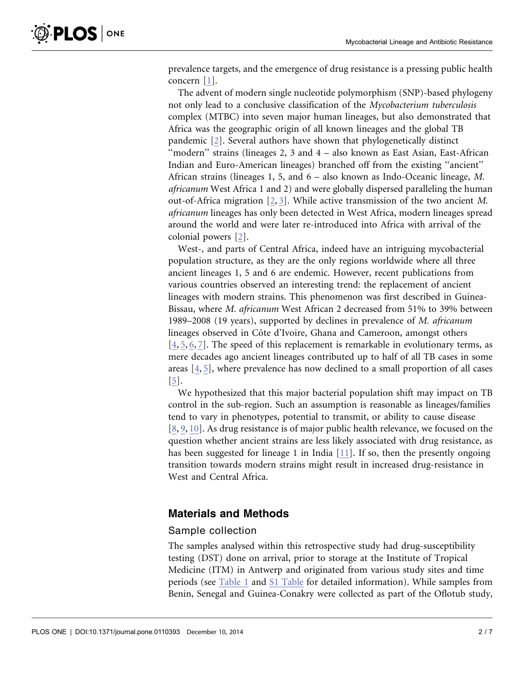prevalence targets, and the emergence of drug resistance is a pressing public health concern [\[1\]](#page-5-0).

The advent of modern single nucleotide polymorphism (SNP)-based phylogeny not only lead to a conclusive classification of the Mycobacterium tuberculosis complex (MTBC) into seven major human lineages, but also demonstrated that Africa was the geographic origin of all known lineages and the global TB pandemic [\[2\].](#page-5-0) Several authors have shown that phylogenetically distinct "modern" strains (lineages 2, 3 and 4 – also known as East Asian, East-African Indian and Euro-American lineages) branched off from the existing ''ancient'' African strains (lineages 1, 5, and 6 – also known as Indo-Oceanic lineage, M. africanum West Africa 1 and 2) and were globally dispersed paralleling the human out-of-Africa migration [\[2,](#page-5-0) [3\]](#page-5-0). While active transmission of the two ancient M. africanum lineages has only been detected in West Africa, modern lineages spread around the world and were later re-introduced into Africa with arrival of the colonial powers [\[2\].](#page-5-0)

West-, and parts of Central Africa, indeed have an intriguing mycobacterial population structure, as they are the only regions worldwide where all three ancient lineages 1, 5 and 6 are endemic. However, recent publications from various countries observed an interesting trend: the replacement of ancient lineages with modern strains. This phenomenon was first described in Guinea-Bissau, where M. africanum West African 2 decreased from 51% to 39% between 1989–2008 (19 years), supported by declines in prevalence of M. africanum lineages observed in Côte d'Ivoire, Ghana and Cameroon, amongst others [\[4,](#page-5-0) [5,](#page-5-0) [6,](#page-5-0) [7\].](#page-5-0) The speed of this replacement is remarkable in evolutionary terms, as mere decades ago ancient lineages contributed up to half of all TB cases in some areas [\[4,](#page-5-0) [5\]](#page-5-0), where prevalence has now declined to a small proportion of all cases [\[5\]](#page-5-0).

We hypothesized that this major bacterial population shift may impact on TB control in the sub-region. Such an assumption is reasonable as lineages/families tend to vary in phenotypes, potential to transmit, or ability to cause disease [\[8,](#page-5-0) [9,](#page-5-0) [10\]](#page-5-0). As drug resistance is of major public health relevance, we focused on the question whether ancient strains are less likely associated with drug resistance, as has been suggested for lineage 1 in India [\[11\].](#page-5-0) If so, then the presently ongoing transition towards modern strains might result in increased drug-resistance in West and Central Africa.

#### Materials and Methods

#### Sample collection

The samples analysed within this retrospective study had drug-susceptibility testing (DST) done on arrival, prior to storage at the Institute of Tropical Medicine (ITM) in Antwerp and originated from various study sites and time periods (see [Table 1](#page-2-0) and [S1 Table](#page-5-0) for detailed information). While samples from Benin, Senegal and Guinea-Conakry were collected as part of the Oflotub study,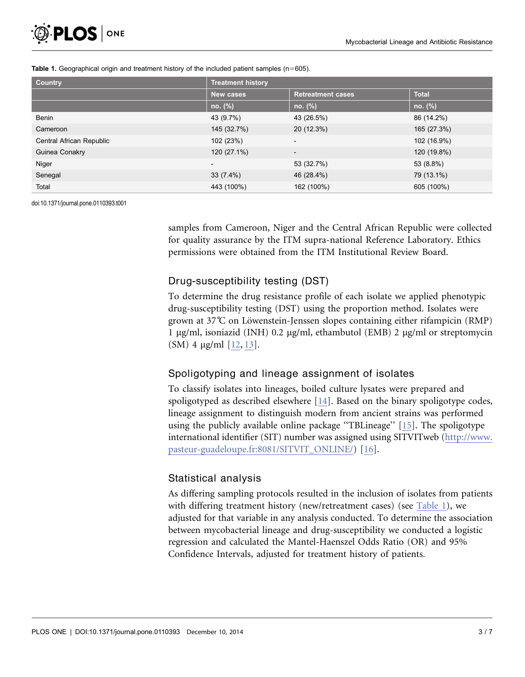| <b>Country</b>           | <b>Treatment history</b> |                          |              |  |  |
|--------------------------|--------------------------|--------------------------|--------------|--|--|
|                          | <b>New cases</b>         | <b>Retreatment cases</b> | <b>Total</b> |  |  |
|                          | no. (%)                  | no. (%)                  | no. (%)      |  |  |
| Benin                    | 43 (9.7%)                | 43 (26.5%)               | 86 (14.2%)   |  |  |
| Cameroon                 | 145 (32.7%)              | 20 (12.3%)               | 165 (27.3%)  |  |  |
| Central African Republic | 102 (23%)                | $\overline{\phantom{a}}$ | 102 (16.9%)  |  |  |
| Guinea Conakry           | 120 (27.1%)              | $\overline{\phantom{a}}$ | 120 (19.8%)  |  |  |
| Niger                    | $\overline{\phantom{0}}$ | 53 (32.7%)               | 53 (8.8%)    |  |  |
| Senegal                  | 33(7.4%)                 | 46 (28.4%)               | 79 (13.1%)   |  |  |
| Total                    | 443 (100%)               | 162 (100%)               | 605 (100%)   |  |  |

#### <span id="page-2-0"></span>Table 1. Geographical origin and treatment history of the included patient samples ( $n=605$ ).

doi:10.1371/journal.pone.0110393.t001

samples from Cameroon, Niger and the Central African Republic were collected for quality assurance by the ITM supra-national Reference Laboratory. Ethics permissions were obtained from the ITM Institutional Review Board.

#### Drug-susceptibility testing (DST)

To determine the drug resistance profile of each isolate we applied phenotypic drug-susceptibility testing (DST) using the proportion method. Isolates were grown at  $37^{\circ}$  on Löwenstein-Jenssen slopes containing either rifampicin (RMP) 1  $\mu$ g/ml, isoniazid (INH) 0.2  $\mu$ g/ml, ethambutol (EMB) 2  $\mu$ g/ml or streptomycin (SM) 4  $\mu$ g/ml [\[12,](#page-5-0) [13](#page-6-0)[\]](#page-5-0).

#### Spoligotyping and lineage assignment of isolates

To classify isolates into lineages, boiled culture lysates were prepared and spoligotyped as described elsewhere [\[14\]](#page-6-0). Based on the binary spoligotype codes, lineage assignment to distinguish modern from ancient strains was performed using the publicly available online package ''TBLineage'' [\[15\].](#page-6-0) The spoligotype international identifier (SIT) number was assigned using SITVITweb [\(http://www.](http://www.pasteur-guadeloupe.fr:8081/SITVIT_ONLINE/) [pasteur-guadeloupe.fr:8081/SITVIT\\_ONLINE/](http://www.pasteur-guadeloupe.fr:8081/SITVIT_ONLINE/)) [\[16\].](#page-6-0)

#### Statistical analysis

As differing sampling protocols resulted in the inclusion of isolates from patients with differing treatment history (new/retreatment cases) (see Table 1), we adjusted for that variable in any analysis conducted. To determine the association between mycobacterial lineage and drug-susceptibility we conducted a logistic regression and calculated the Mantel-Haenszel Odds Ratio (OR) and 95% Confidence Intervals, adjusted for treatment history of patients.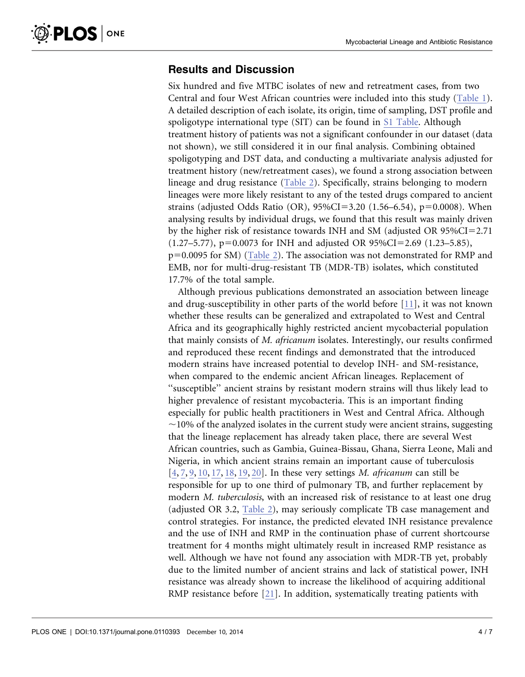#### Results and Discussion

Six hundred and five MTBC isolates of new and retreatment cases, from two Central and four West African countries were included into this study [\(Table 1\)](#page-2-0). A detailed description of each isolate, its origin, time of sampling, DST profile and spoligotype international type (SIT) can be found in [S1 Table](#page-5-0). Although treatment history of patients was not a significant confounder in our dataset (data not shown), we still considered it in our final analysis. Combining obtained spoligotyping and DST data, and conducting a multivariate analysis adjusted for treatment history (new/retreatment cases), we found a strong association between lineage and drug resistance [\(Table 2](#page-4-0)). Specifically, strains belonging to modern lineages were more likely resistant to any of the tested drugs compared to ancient strains (adjusted Odds Ratio (OR),  $95\%CI = 3.20$  (1.56–6.54), p=0.0008). When analysing results by individual drugs, we found that this result was mainly driven by the higher risk of resistance towards INH and SM (adjusted OR  $95\%CI = 2.71$ )  $(1.27-5.77)$ , p=0.0073 for INH and adjusted OR 95%CI=2.69 (1.23–5.85),  $p=0.0095$  for SM) [\(Table 2\)](#page-4-0). The association was not demonstrated for RMP and EMB, nor for multi-drug-resistant TB (MDR-TB) isolates, which constituted 17.7% of the total sample.

Although previous publications demonstrated an association between lineage and drug-susceptibility in other parts of the world before [\[11\]](#page-5-0), it was not known whether these results can be generalized and extrapolated to West and Central Africa and its geographically highly restricted ancient mycobacterial population that mainly consists of M. africanum isolates. Interestingly, our results confirmed and reproduced these recent findings and demonstrated that the introduced modern strains have increased potential to develop INH- and SM-resistance, when compared to the endemic ancient African lineages. Replacement of ''susceptible'' ancient strains by resistant modern strains will thus likely lead to higher prevalence of resistant mycobacteria. This is an important finding especially for public health practitioners in West and Central Africa. Although  $\sim$ 10% of the analyzed isolates in the current study were ancient strains, suggesting that the lineage replacement has already taken place, there are several West African countries, such as Gambia, Guinea-Bissau, Ghana, Sierra Leone, Mali and Nigeria, in which ancient strains remain an important cause of tuberculosis [\[4,](#page-5-0) [7,](#page-5-0) [9,](#page-5-0) [10,](#page-5-0) [17,](#page-6-0) [18,](#page-6-0) [19,](#page-6-0) [20](#page-6-0)[\].](#page-5-0) In these very settings M. africanum can still be responsible for up to one third of pulmonary TB, and further replacement by modern *M. tuberculosis*, with an increased risk of resistance to at least one drug (adjusted OR 3.2, [Table 2\)](#page-4-0), may seriously complicate TB case management and control strategies. For instance, the predicted elevated INH resistance prevalence and the use of INH and RMP in the continuation phase of current shortcourse treatment for 4 months might ultimately result in increased RMP resistance as well. Although we have not found any association with MDR-TB yet, probably due to the limited number of ancient strains and lack of statistical power, INH resistance was already shown to increase the likelihood of acquiring additional RMP resistance before [\[21\].](#page-6-0) In addition, systematically treating patients with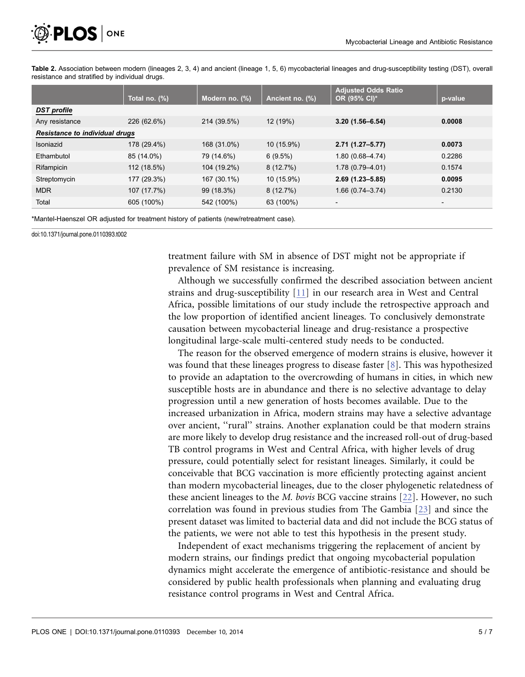<span id="page-4-0"></span>

Table 2. Association between modern (lineages 2, 3, 4) and ancient (lineage 1, 5, 6) mycobacterial lineages and drug-susceptibility testing (DST), overall resistance and stratified by individual drugs.

|                                       | Total no. $(\%)$ | Modern no. (%) | Ancient no. (%) | <b>Adjusted Odds Ratio</b><br>OR (95% CI)* | p-value                  |  |  |
|---------------------------------------|------------------|----------------|-----------------|--------------------------------------------|--------------------------|--|--|
| <b>DST</b> profile                    |                  |                |                 |                                            |                          |  |  |
| Any resistance                        | 226 (62.6%)      | 214 (39.5%)    | 12 (19%)        | $3.20(1.56 - 6.54)$                        | 0.0008                   |  |  |
| <b>Resistance to individual drugs</b> |                  |                |                 |                                            |                          |  |  |
| Isoniazid                             | 178 (29.4%)      | 168 (31.0%)    | $10(15.9\%)$    | $2.71(1.27 - 5.77)$                        | 0.0073                   |  |  |
| Ethambutol                            | 85 (14.0%)       | 79 (14.6%)     | 6(9.5%)         | $1.80(0.68 - 4.74)$                        | 0.2286                   |  |  |
| Rifampicin                            | 112 (18.5%)      | 104 (19.2%)    | 8(12.7%)        | $1.78(0.79 - 4.01)$                        | 0.1574                   |  |  |
| Streptomycin                          | 177 (29.3%)      | 167 (30.1%)    | 10 (15.9%)      | $2.69(1.23 - 5.85)$                        | 0.0095                   |  |  |
| <b>MDR</b>                            | 107 (17.7%)      | 99 (18.3%)     | 8(12.7%)        | $1.66(0.74 - 3.74)$                        | 0.2130                   |  |  |
| Total                                 | 605 (100%)       | 542 (100%)     | 63 (100%)       | $\overline{\phantom{a}}$                   | $\overline{\phantom{a}}$ |  |  |

\*Mantel-Haenszel OR adjusted for treatment history of patients (new/retreatment case).

doi:10.1371/journal.pone.0110393.t002

treatment failure with SM in absence of DST might not be appropriate if prevalence of SM resistance is increasing.

Although we successfully confirmed the described association between ancient strains and drug-susceptibility [\[11\]](#page-5-0) in our research area in West and Central Africa, possible limitations of our study include the retrospective approach and the low proportion of identified ancient lineages. To conclusively demonstrate causation between mycobacterial lineage and drug-resistance a prospective longitudinal large-scale multi-centered study needs to be conducted.

The reason for the observed emergence of modern strains is elusive, however it was found that these lineages progress to disease faster [\[8\]](#page-5-0). This was hypothesized to provide an adaptation to the overcrowding of humans in cities, in which new susceptible hosts are in abundance and there is no selective advantage to delay progression until a new generation of hosts becomes available. Due to the increased urbanization in Africa, modern strains may have a selective advantage over ancient, "rural" strains. Another explanation could be that modern strains are more likely to develop drug resistance and the increased roll-out of drug-based TB control programs in West and Central Africa, with higher levels of drug pressure, could potentially select for resistant lineages. Similarly, it could be conceivable that BCG vaccination is more efficiently protecting against ancient than modern mycobacterial lineages, due to the closer phylogenetic relatedness of these ancient lineages to the M. bovis BCG vaccine strains [\[22\]](#page-6-0). However, no such correlation was found in previous studies from The Gambia [\[23\]](#page-6-0) and since the present dataset was limited to bacterial data and did not include the BCG status of the patients, we were not able to test this hypothesis in the present study.

Independent of exact mechanisms triggering the replacement of ancient by modern strains, our findings predict that ongoing mycobacterial population dynamics might accelerate the emergence of antibiotic-resistance and should be considered by public health professionals when planning and evaluating drug resistance control programs in West and Central Africa.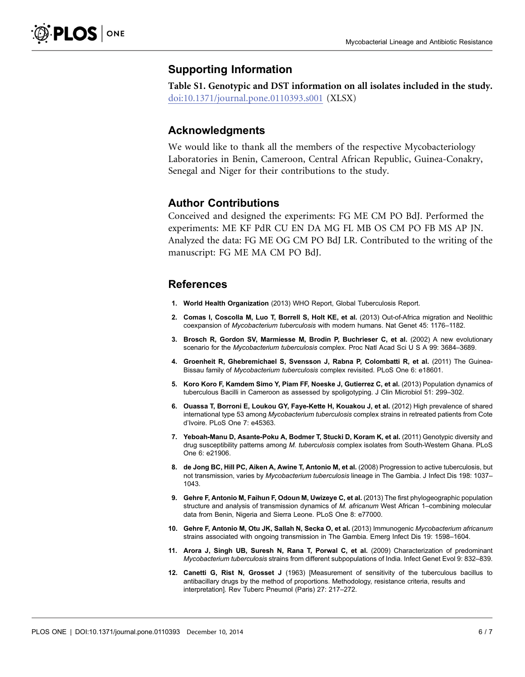#### <span id="page-5-0"></span>Supporting Information

Table S1. Genotypic and DST information on all isolates included in the study. [doi:10.1371/journal.pone.0110393.s001](http://www.plosone.org/article/fetchSingleRepresentation.action?uri=info:doi/10.1371/journal.pone.0110393.s001) (XLSX)

#### Acknowledgments

We would like to thank all the members of the respective Mycobacteriology Laboratories in Benin, Cameroon, Central African Republic, Guinea-Conakry, Senegal and Niger for their contributions to the study.

#### Author Contributions

Conceived and designed the experiments: FG ME CM PO BdJ. Performed the experiments: ME KF PdR CU EN DA MG FL MB OS CM PO FB MS AP JN. Analyzed the data: FG ME OG CM PO BdJ LR. Contributed to the writing of the manuscript: FG ME MA CM PO BdJ.

#### References

- 1. World Health Organization (2013) WHO Report, Global Tuberculosis Report.
- 2. Comas I, Coscolla M, Luo T, Borrell S, Holt KE, et al. (2013) Out-of-Africa migration and Neolithic coexpansion of Mycobacterium tuberculosis with modern humans. Nat Genet 45: 1176–1182.
- 3. Brosch R, Gordon SV, Marmiesse M, Brodin P, Buchrieser C, et al. (2002) A new evolutionary scenario for the Mycobacterium tuberculosis complex. Proc Natl Acad Sci U S A 99: 3684-3689.
- 4. Groenheit R, Ghebremichael S, Svensson J, Rabna P, Colombatti R, et al. (2011) The Guinea-Bissau family of Mycobacterium tuberculosis complex revisited. PLoS One 6: e18601.
- 5. Koro Koro F, Kamdem Simo Y, Piam FF, Noeske J, Gutierrez C, et al. (2013) Population dynamics of tuberculous Bacilli in Cameroon as assessed by spoligotyping. J Clin Microbiol 51: 299–302.
- 6. Ouassa T, Borroni E, Loukou GY, Faye-Kette H, Kouakou J, et al. (2012) High prevalence of shared international type 53 among Mycobacterium tuberculosis complex strains in retreated patients from Cote d'Ivoire. PLoS One 7: e45363.
- 7. Yeboah-Manu D, Asante-Poku A, Bodmer T, Stucki D, Koram K, et al. (2011) Genotypic diversity and drug susceptibility patterns among M. tuberculosis complex isolates from South-Western Ghana. PLoS One 6: e21906.
- 8. de Jong BC, Hill PC, Aiken A, Awine T, Antonio M, et al. (2008) Progression to active tuberculosis, but not transmission, varies by Mycobacterium tuberculosis lineage in The Gambia. J Infect Dis 198: 1037-1043.
- 9. Gehre F, Antonio M, Faihun F, Odoun M, Uwizeye C, et al. (2013) The first phylogeographic population structure and analysis of transmission dynamics of M. africanum West African 1-combining molecular data from Benin, Nigeria and Sierra Leone. PLoS One 8: e77000.
- 10. Gehre F, Antonio M, Otu JK, Sallah N, Secka O, et al. (2013) Immunogenic Mycobacterium africanum strains associated with ongoing transmission in The Gambia. Emerg Infect Dis 19: 1598–1604.
- 11. Arora J, Singh UB, Suresh N, Rana T, Porwal C, et al. (2009) Characterization of predominant Mycobacterium tuberculosis strains from different subpopulations of India. Infect Genet Evol 9: 832–839.
- 12. Canetti G, Rist N, Grosset J (1963) [Measurement of sensitivity of the tuberculous bacillus to antibacillary drugs by the method of proportions. Methodology, resistance criteria, results and interpretation]. Rev Tuberc Pneumol (Paris) 27: 217–272.